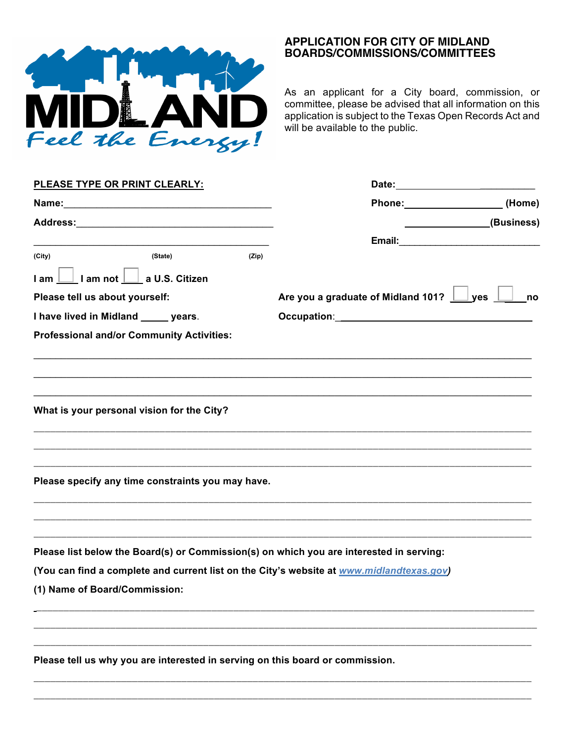

## **APPLICATION FOR CITY OF MIDLAND BOARDS/COMMISSIONS/COMMITTEES**

As an applicant for a City board, commission, or committee, please be advised that all information on this application is subject to the Texas Open Records Act and will be available to the public.

| <b>PLEASE TYPE OR PRINT CLEARLY:</b>                                                                                                                                                                                           |       |                                                                                                                                                                                                                                |                             |
|--------------------------------------------------------------------------------------------------------------------------------------------------------------------------------------------------------------------------------|-------|--------------------------------------------------------------------------------------------------------------------------------------------------------------------------------------------------------------------------------|-----------------------------|
|                                                                                                                                                                                                                                |       | Phone: (Home)                                                                                                                                                                                                                  | _________________(Business) |
| Address: Analysis and the contract of the contract of the contract of the contract of the contract of the contract of the contract of the contract of the contract of the contract of the contract of the contract of the cont |       |                                                                                                                                                                                                                                |                             |
|                                                                                                                                                                                                                                |       | Email: Email: Email: Email: Email: Email: Email: Email: Email: Email: Email: Email: Email: Email: Email: Email: Email: Email: Email: Email: Email: Email: Email: Email: Email: Email: Email: Email: Email: Email: Email: Email |                             |
| (State)<br>(City)                                                                                                                                                                                                              | (Zip) |                                                                                                                                                                                                                                |                             |
| I am   I am not   a U.S. Citizen                                                                                                                                                                                               |       |                                                                                                                                                                                                                                |                             |
| Please tell us about yourself:                                                                                                                                                                                                 |       | Are you a graduate of Midland 101? 1 yes                                                                                                                                                                                       | no                          |
| I have lived in Midland ______ years.                                                                                                                                                                                          |       |                                                                                                                                                                                                                                |                             |
| <b>Professional and/or Community Activities:</b>                                                                                                                                                                               |       |                                                                                                                                                                                                                                |                             |
| What is your personal vision for the City?                                                                                                                                                                                     |       |                                                                                                                                                                                                                                |                             |
| Please specify any time constraints you may have.                                                                                                                                                                              |       |                                                                                                                                                                                                                                |                             |
| Please list below the Board(s) or Commission(s) on which you are interested in serving:                                                                                                                                        |       |                                                                                                                                                                                                                                |                             |
| (You can find a complete and current list on the City's website at www.midlandtexas.gov)<br>(1) Name of Board/Commission:                                                                                                      |       |                                                                                                                                                                                                                                |                             |
| Please tell us why you are interested in serving on this board or commission.                                                                                                                                                  |       |                                                                                                                                                                                                                                |                             |
|                                                                                                                                                                                                                                |       |                                                                                                                                                                                                                                |                             |

\_\_\_\_\_\_\_\_\_\_\_\_\_\_\_\_\_\_\_\_\_\_\_\_\_\_\_\_\_\_\_\_\_\_\_\_\_\_\_\_\_\_\_\_\_\_\_\_\_\_\_\_\_\_\_\_\_\_\_\_\_\_\_\_\_\_\_\_\_\_\_\_\_\_\_\_\_\_\_\_\_\_\_\_\_\_\_\_\_\_\_